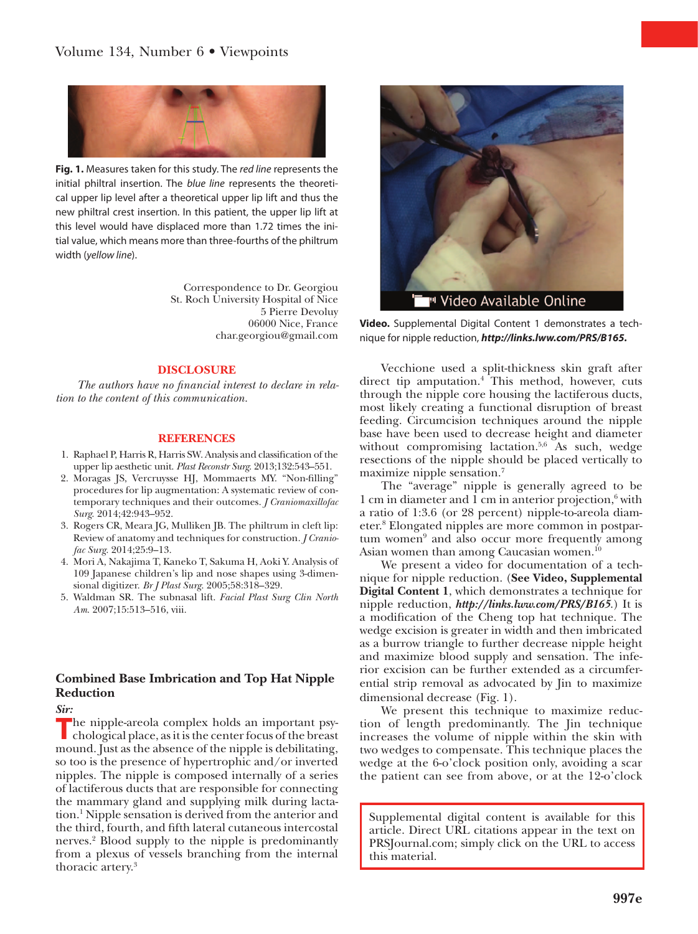

**Fig. 1.** Measures taken for this study. The *red line* represents the initial philtral insertion. The *blue line* represents the theoretical upper lip level after a theoretical upper lip lift and thus the new philtral crest insertion. In this patient, the upper lip lift at this level would have displaced more than 1.72 times the initial value, which means more than three-fourths of the philtrum width (*yellow line*).

> Correspondence to Dr. Georgiou St. Roch University Hospital of Nice 5 Pierre Devoluy 06000 Nice, France [char.georgiou@gmail.com](mailto:char.georgiou@gmail.com)

#### **DISCLOSURE**

*The authors have no financial interest to declare in relation to the content of this communication.*

#### **REFERENCES**

- 1. Raphael P, Harris R, Harris SW. Analysis and classification of the upper lip aesthetic unit. *Plast Reconstr Surg*. 2013;132:543–551.
- 2. Moragas JS, Vercruysse HJ, Mommaerts MY. "Non-filling" procedures for lip augmentation: A systematic review of contemporary techniques and their outcomes. *J Craniomaxillofac Surg*. 2014;42:943–952.
- 3. Rogers CR, Meara JG, Mulliken JB. The philtrum in cleft lip: Review of anatomy and techniques for construction. *J Craniofac Surg*. 2014;25:9–13.
- 4. Mori A, Nakajima T, Kaneko T, Sakuma H, Aoki Y. Analysis of 109 Japanese children's lip and nose shapes using 3-dimensional digitizer. *Br J Plast Surg*. 2005;58:318–329.
- 5. Waldman SR. The subnasal lift. *Facial Plast Surg Clin North Am*. 2007;15:513–516, viii.

## **Combined Base Imbrication and Top Hat Nipple Reduction**

*Sir:*

**T**he nipple-areola complex holds an important psychological place, as it is the center focus of the breast mound. Just as the absence of the nipple is debilitating, so too is the presence of hypertrophic and/or inverted nipples. The nipple is composed internally of a series of lactiferous ducts that are responsible for connecting the mammary gland and supplying milk during lactation.<sup>1</sup> Nipple sensation is derived from the anterior and the third, fourth, and fifth lateral cutaneous intercostal nerves.2 Blood supply to the nipple is predominantly from a plexus of vessels branching from the internal thoracic artery.<sup>3</sup>



**Video.** Supplemental Digital Content 1 demonstrates a technique for nipple reduction, *<http://links.lww.com/PRS/B165>.*

Vecchione used a split-thickness skin graft after direct tip amputation.<sup>4</sup> This method, however, cuts through the nipple core housing the lactiferous ducts, most likely creating a functional disruption of breast feeding. Circumcision techniques around the nipple base have been used to decrease height and diameter without compromising lactation.<sup>5,6</sup> As such, wedge resections of the nipple should be placed vertically to maximize nipple sensation.<sup>7</sup>

The "average" nipple is generally agreed to be 1 cm in diameter and 1 cm in anterior projection,<sup>6</sup> with a ratio of 1:3.6 (or 28 percent) nipple-to-areola diameter.8 Elongated nipples are more common in postpartum women<sup>9</sup> and also occur more frequently among Asian women than among Caucasian women.<sup>10</sup>

We present a video for documentation of a technique for nipple reduction. (**See Video, Supplemental Digital Content 1**, which demonstrates a technique for nipple reduction, *<http://links.lww.com/PRS/B165>*.) It is a modification of the Cheng top hat technique. The wedge excision is greater in width and then imbricated as a burrow triangle to further decrease nipple height and maximize blood supply and sensation. The inferior excision can be further extended as a circumferential strip removal as advocated by Jin to maximize dimensional decrease (Fig. 1).

We present this technique to maximize reduction of length predominantly. The Jin technique increases the volume of nipple within the skin with two wedges to compensate. This technique places the wedge at the 6-o'clock position only, avoiding a scar the patient can see from above, or at the 12-o'clock

Supplemental digital content is available for this article. Direct URL citations appear in the text on PRSJournal.com; simply click on the URL to access this material.